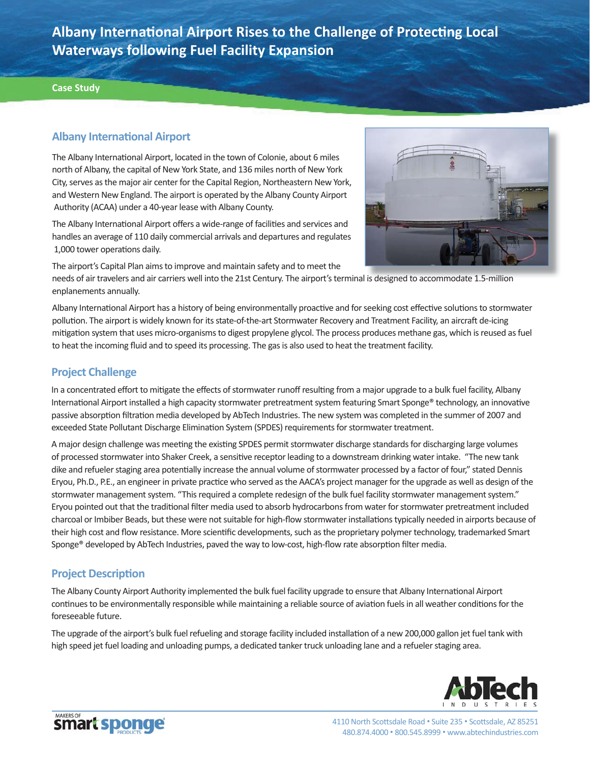**Albany Internati onal Airport Rises to the Challenge of Protecti ng Local Waterways following Fuel Facility Expansion**

#### **Case Study**

## **Albany Internati onal Airport**

The Albany International Airport, located in the town of Colonie, about 6 miles north of Albany, the capital of New York State, and 136 miles north of New York City, serves as the major air center for the Capital Region, Northeastern New York, and Western New England. The airport is operated by the Albany County Airport Authority (ACAA) under a 40-year lease with Albany County.

The Albany International Airport offers a wide-range of facilities and services and handles an average of 110 daily commercial arrivals and departures and regulates 1,000 tower operations daily.

The airport's Capital Plan aims to improve and maintain safety and to meet the

needs of air travelers and air carriers well into the 21st Century. The airport's terminal is designed to accommodate 1.5-million is designed to accommodate 1 5 millionenplanements annually.

Albany International Airport has a history of being environmentally proactive and for seeking cost effective solutions to stormwater pollution. The airport is widely known for its state-of-the-art Stormwater Recovery and Treatment Facility, an aircraft de-icing mitigation system that uses micro-organisms to digest propylene glycol. The process produces methane gas, which is reused as fuel to heat the incoming fluid and to speed its processing. The gas is also used to heat the treatment facility.

# **Project Challenge**

In a concentrated effort to mitigate the effects of stormwater runoff resulting from a major upgrade to a bulk fuel facility, Albany International Airport installed a high capacity stormwater pretreatment system featuring Smart Sponge® technology, an innovative passive absorption filtration media developed by AbTech Industries. The new system was completed in the summer of 2007 and exceeded State Pollutant Discharge Elimination System (SPDES) requirements for stormwater treatment.

A major design challenge was meeting the existing SPDES permit stormwater discharge standards for discharging large volumes of processed stormwater into Shaker Creek, a sensitive receptor leading to a downstream drinking water intake. "The new tank dike and refueler staging area potentially increase the annual volume of stormwater processed by a factor of four," stated Dennis Eryou, Ph.D., P.E., an engineer in private practice who served as the AACA's project manager for the upgrade as well as design of the stormwater management system. "This required a complete redesign of the bulk fuel facility stormwater management system." Eryou pointed out that the traditional filter media used to absorb hydrocarbons from water for stormwater pretreatment included charcoal or Imbiber Beads, but these were not suitable for high-flow stormwater installations typically needed in airports because of their high cost and flow resistance. More scientific developments, such as the proprietary polymer technology, trademarked Smart Sponge® developed by AbTech Industries, paved the way to low-cost, high-flow rate absorption filter media.

### **Project Description**

The Albany County Airport Authority implemented the bulk fuel facility upgrade to ensure that Albany International Airport continues to be environmentally responsible while maintaining a reliable source of aviation fuels in all weather conditions for the foreseeable future.

The upgrade of the airport's bulk fuel refueling and storage facility included installation of a new 200,000 gallon jet fuel tank with high speed jet fuel loading and unloading pumps, a dedicated tanker truck unloading lane and a refueler staging area.